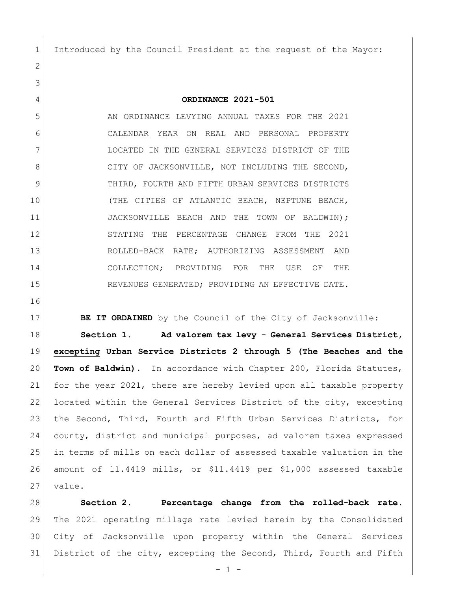Introduced by the Council President at the request of the Mayor:

**ORDINANCE 2021-501**

 AN ORDINANCE LEVYING ANNUAL TAXES FOR THE 2021 CALENDAR YEAR ON REAL AND PERSONAL PROPERTY LOCATED IN THE GENERAL SERVICES DISTRICT OF THE 8 CITY OF JACKSONVILLE, NOT INCLUDING THE SECOND, 9 THIRD, FOURTH AND FIFTH URBAN SERVICES DISTRICTS (THE CITIES OF ATLANTIC BEACH, NEPTUNE BEACH, 11 JACKSONVILLE BEACH AND THE TOWN OF BALDWIN); STATING THE PERCENTAGE CHANGE FROM THE 2021 ROLLED-BACK RATE; AUTHORIZING ASSESSMENT AND COLLECTION; PROVIDING FOR THE USE OF THE REVENUES GENERATED; PROVIDING AN EFFECTIVE DATE.

**BE IT ORDAINED** by the Council of the City of Jacksonville:

 **Section 1. Ad valorem tax levy - General Services District, excepting Urban Service Districts 2 through 5 (The Beaches and the Town of Baldwin).** In accordance with Chapter 200, Florida Statutes, for the year 2021, there are hereby levied upon all taxable property located within the General Services District of the city, excepting 23 | the Second, Third, Fourth and Fifth Urban Services Districts, for county, district and municipal purposes, ad valorem taxes expressed in terms of mills on each dollar of assessed taxable valuation in the amount of 11.4419 mills, or \$11.4419 per \$1,000 assessed taxable value.

 **Section 2. Percentage change from the rolled-back rate.** The 2021 operating millage rate levied herein by the Consolidated City of Jacksonville upon property within the General Services District of the city, excepting the Second, Third, Fourth and Fifth

- 1 -